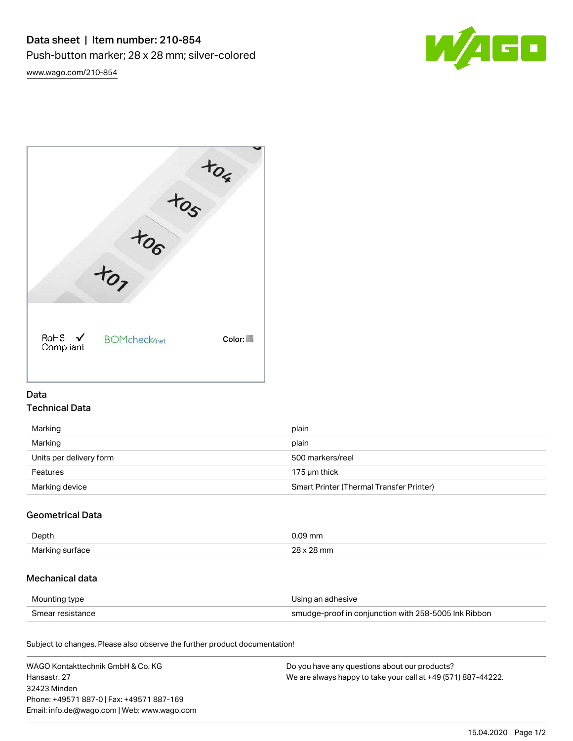

[www.wago.com/210-854](http://www.wago.com/210-854)



## Data Technical Data

| Marking                 | plain                                    |
|-------------------------|------------------------------------------|
| Marking                 | plain                                    |
| Units per delivery form | 500 markers/reel                         |
| Features                | 175 µm thick                             |
| Marking device          | Smart Printer (Thermal Transfer Printer) |

# Geometrical Data

| Depth           | 09 mm |
|-----------------|-------|
| Marking surface | mm    |

# Mechanical data

| Mounting type    | Using an adhesive                                    |
|------------------|------------------------------------------------------|
| Smear resistance | smudge-proof in conjunction with 258-5005 Ink Ribbon |

Subject to changes. Please also observe the further product documentation!

| WAGO Kontakttechnik GmbH & Co. KG           | Do you have any questions about our products?                 |
|---------------------------------------------|---------------------------------------------------------------|
| Hansastr, 27                                | We are always happy to take your call at +49 (571) 887-44222. |
| 32423 Minden                                |                                                               |
| Phone: +49571 887-0   Fax: +49571 887-169   |                                                               |
| Email: info.de@wago.com   Web: www.wago.com |                                                               |